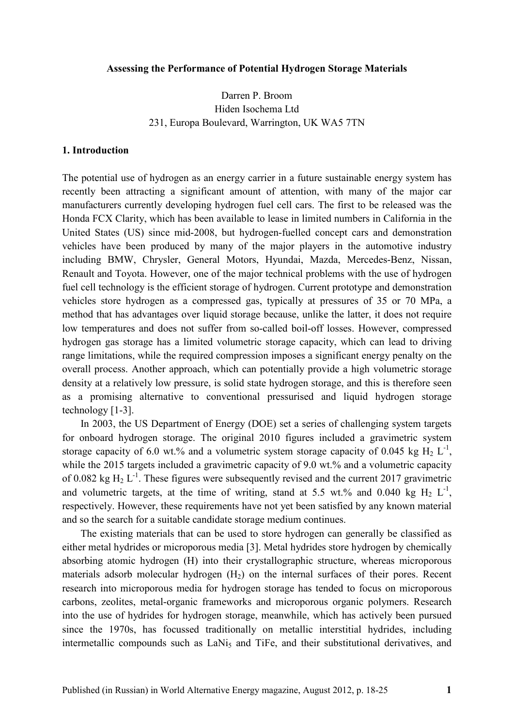#### **Assessing the Performance of Potential Hydrogen Storage Materials**

# Darren P. Broom Hiden Isochema Ltd 231, Europa Boulevard, Warrington, UK WA5 7TN

### **1. Introduction**

The potential use of hydrogen as an energy carrier in a future sustainable energy system has recently been attracting a significant amount of attention, with many of the major car manufacturers currently developing hydrogen fuel cell cars. The first to be released was the Honda FCX Clarity, which has been available to lease in limited numbers in California in the United States (US) since mid-2008, but hydrogen-fuelled concept cars and demonstration vehicles have been produced by many of the major players in the automotive industry including BMW, Chrysler, General Motors, Hyundai, Mazda, Mercedes-Benz, Nissan, Renault and Toyota. However, one of the major technical problems with the use of hydrogen fuel cell technology is the efficient storage of hydrogen. Current prototype and demonstration vehicles store hydrogen as a compressed gas, typically at pressures of 35 or 70 MPa, a method that has advantages over liquid storage because, unlike the latter, it does not require low temperatures and does not suffer from so-called boil-off losses. However, compressed hydrogen gas storage has a limited volumetric storage capacity, which can lead to driving range limitations, while the required compression imposes a significant energy penalty on the overall process. Another approach, which can potentially provide a high volumetric storage density at a relatively low pressure, is solid state hydrogen storage, and this is therefore seen as a promising alternative to conventional pressurised and liquid hydrogen storage technology [1-3].

In 2003, the US Department of Energy (DOE) set a series of challenging system targets for onboard hydrogen storage. The original 2010 figures included a gravimetric system storage capacity of 6.0 wt.% and a volumetric system storage capacity of 0.045 kg  $H_2 L^{-1}$ , while the 2015 targets included a gravimetric capacity of 9.0 wt.% and a volumetric capacity of 0.082 kg  $H_2 L^{-1}$ . These figures were subsequently revised and the current 2017 gravimetric and volumetric targets, at the time of writing, stand at 5.5 wt.% and 0.040 kg  $H_2 L^{-1}$ , respectively. However, these requirements have not yet been satisfied by any known material and so the search for a suitable candidate storage medium continues.

The existing materials that can be used to store hydrogen can generally be classified as either metal hydrides or microporous media [3]. Metal hydrides store hydrogen by chemically absorbing atomic hydrogen (H) into their crystallographic structure, whereas microporous materials adsorb molecular hydrogen  $(H<sub>2</sub>)$  on the internal surfaces of their pores. Recent research into microporous media for hydrogen storage has tended to focus on microporous carbons, zeolites, metal-organic frameworks and microporous organic polymers. Research into the use of hydrides for hydrogen storage, meanwhile, which has actively been pursued since the 1970s, has focussed traditionally on metallic interstitial hydrides, including intermetallic compounds such as LaNi<sub>5</sub> and TiFe, and their substitutional derivatives, and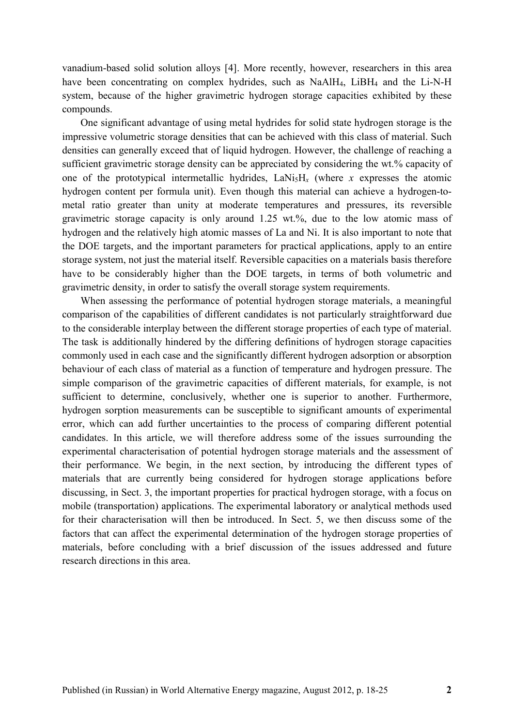vanadium-based solid solution alloys [4]. More recently, however, researchers in this area have been concentrating on complex hydrides, such as NaAlH<sub>4</sub>, LiBH<sub>4</sub> and the Li-N-H system, because of the higher gravimetric hydrogen storage capacities exhibited by these compounds.

One significant advantage of using metal hydrides for solid state hydrogen storage is the impressive volumetric storage densities that can be achieved with this class of material. Such densities can generally exceed that of liquid hydrogen. However, the challenge of reaching a sufficient gravimetric storage density can be appreciated by considering the wt.% capacity of one of the prototypical intermetallic hydrides,  $\text{LaNi}_5\text{H}_x$  (where *x* expresses the atomic hydrogen content per formula unit). Even though this material can achieve a hydrogen-tometal ratio greater than unity at moderate temperatures and pressures, its reversible gravimetric storage capacity is only around 1.25 wt.%, due to the low atomic mass of hydrogen and the relatively high atomic masses of La and Ni. It is also important to note that the DOE targets, and the important parameters for practical applications, apply to an entire storage system, not just the material itself. Reversible capacities on a materials basis therefore have to be considerably higher than the DOE targets, in terms of both volumetric and gravimetric density, in order to satisfy the overall storage system requirements.

When assessing the performance of potential hydrogen storage materials, a meaningful comparison of the capabilities of different candidates is not particularly straightforward due to the considerable interplay between the different storage properties of each type of material. The task is additionally hindered by the differing definitions of hydrogen storage capacities commonly used in each case and the significantly different hydrogen adsorption or absorption behaviour of each class of material as a function of temperature and hydrogen pressure. The simple comparison of the gravimetric capacities of different materials, for example, is not sufficient to determine, conclusively, whether one is superior to another. Furthermore, hydrogen sorption measurements can be susceptible to significant amounts of experimental error, which can add further uncertainties to the process of comparing different potential candidates. In this article, we will therefore address some of the issues surrounding the experimental characterisation of potential hydrogen storage materials and the assessment of their performance. We begin, in the next section, by introducing the different types of materials that are currently being considered for hydrogen storage applications before discussing, in Sect. 3, the important properties for practical hydrogen storage, with a focus on mobile (transportation) applications. The experimental laboratory or analytical methods used for their characterisation will then be introduced. In Sect. 5, we then discuss some of the factors that can affect the experimental determination of the hydrogen storage properties of materials, before concluding with a brief discussion of the issues addressed and future research directions in this area.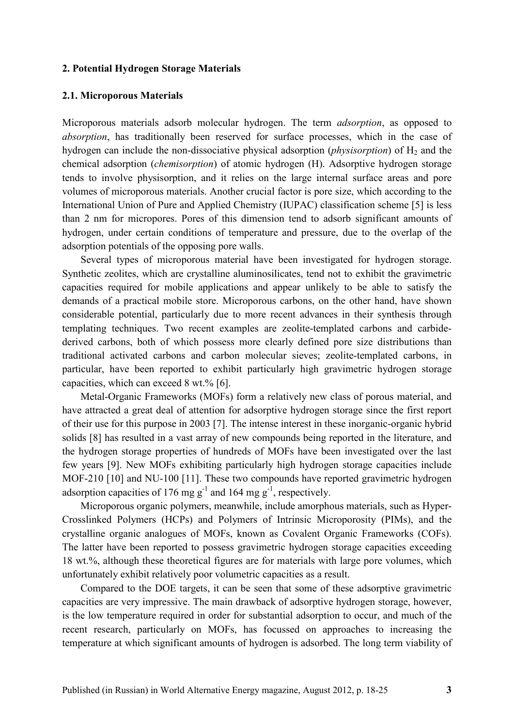### **2. Potential Hydrogen Storage Materials**

#### **2.1. Microporous Materials**

Microporous materials adsorb molecular hydrogen. The term *adsorption*, as opposed to *absorption*, has traditionally been reserved for surface processes, which in the case of hydrogen can include the non-dissociative physical adsorption (*physisorption*) of H<sub>2</sub> and the chemical adsorption (*chemisorption*) of atomic hydrogen (H). Adsorptive hydrogen storage tends to involve physisorption, and it relies on the large internal surface areas and pore volumes of microporous materials. Another crucial factor is pore size, which according to the International Union of Pure and Applied Chemistry (IUPAC) classification scheme [5] is less than 2 nm for micropores. Pores of this dimension tend to adsorb significant amounts of hydrogen, under certain conditions of temperature and pressure, due to the overlap of the adsorption potentials of the opposing pore walls.

Several types of microporous material have been investigated for hydrogen storage. Synthetic zeolites, which are crystalline aluminosilicates, tend not to exhibit the gravimetric capacities required for mobile applications and appear unlikely to be able to satisfy the demands of a practical mobile store. Microporous carbons, on the other hand, have shown considerable potential, particularly due to more recent advances in their synthesis through templating techniques. Two recent examples are zeolite-templated carbons and carbidederived carbons, both of which possess more clearly defined pore size distributions than traditional activated carbons and carbon molecular sieves; zeolite-templated carbons, in particular, have been reported to exhibit particularly high gravimetric hydrogen storage capacities, which can exceed 8 wt.% [6].

Metal-Organic Frameworks (MOFs) form a relatively new class of porous material, and have attracted a great deal of attention for adsorptive hydrogen storage since the first report of their use for this purpose in 2003 [7]. The intense interest in these inorganic-organic hybrid solids [8] has resulted in a vast array of new compounds being reported in the literature, and the hydrogen storage properties of hundreds of MOFs have been investigated over the last few years [9]. New MOFs exhibiting particularly high hydrogen storage capacities include MOF-210 [10] and NU-100 [11]. These two compounds have reported gravimetric hydrogen adsorption capacities of 176 mg  $g^{-1}$  and 164 mg  $g^{-1}$ , respectively.

Microporous organic polymers, meanwhile, include amorphous materials, such as Hyper-Crosslinked Polymers (HCPs) and Polymers of Intrinsic Microporosity (PIMs), and the crystalline organic analogues of MOFs, known as Covalent Organic Frameworks (COFs). The latter have been reported to possess gravimetric hydrogen storage capacities exceeding 18 wt.%, although these theoretical figures are for materials with large pore volumes, which unfortunately exhibit relatively poor volumetric capacities as a result.

Compared to the DOE targets, it can be seen that some of these adsorptive gravimetric capacities are very impressive. The main drawback of adsorptive hydrogen storage, however, is the low temperature required in order for substantial adsorption to occur, and much of the recent research, particularly on MOFs, has focussed on approaches to increasing the temperature at which significant amounts of hydrogen is adsorbed. The long term viability of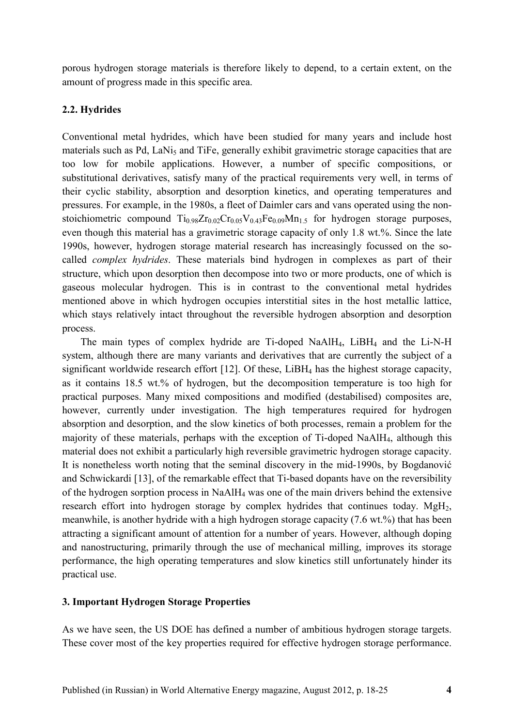porous hydrogen storage materials is therefore likely to depend, to a certain extent, on the amount of progress made in this specific area.

# **2.2. Hydrides**

Conventional metal hydrides, which have been studied for many years and include host materials such as Pd, LaNi<sub>5</sub> and TiFe, generally exhibit gravimetric storage capacities that are too low for mobile applications. However, a number of specific compositions, or substitutional derivatives, satisfy many of the practical requirements very well, in terms of their cyclic stability, absorption and desorption kinetics, and operating temperatures and pressures. For example, in the 1980s, a fleet of Daimler cars and vans operated using the nonstoichiometric compound  $Ti<sub>0.98</sub>Zr<sub>0.02</sub>Cr<sub>0.05</sub>V<sub>0.43</sub>Fe<sub>0.09</sub>Mn<sub>1.5</sub>$  for hydrogen storage purposes, even though this material has a gravimetric storage capacity of only 1.8 wt.%. Since the late 1990s, however, hydrogen storage material research has increasingly focussed on the socalled *complex hydrides*. These materials bind hydrogen in complexes as part of their structure, which upon desorption then decompose into two or more products, one of which is gaseous molecular hydrogen. This is in contrast to the conventional metal hydrides mentioned above in which hydrogen occupies interstitial sites in the host metallic lattice, which stays relatively intact throughout the reversible hydrogen absorption and desorption process.

The main types of complex hydride are Ti-doped NaAlH<sub>4</sub>, LiBH<sub>4</sub> and the Li-N-H system, although there are many variants and derivatives that are currently the subject of a significant worldwide research effort [12]. Of these, LiBH<sub>4</sub> has the highest storage capacity, as it contains 18.5 wt.% of hydrogen, but the decomposition temperature is too high for practical purposes. Many mixed compositions and modified (destabilised) composites are, however, currently under investigation. The high temperatures required for hydrogen absorption and desorption, and the slow kinetics of both processes, remain a problem for the majority of these materials, perhaps with the exception of Ti-doped NaAlH4, although this material does not exhibit a particularly high reversible gravimetric hydrogen storage capacity. It is nonetheless worth noting that the seminal discovery in the mid-1990s, by Bogdanović and Schwickardi [13], of the remarkable effect that Ti-based dopants have on the reversibility of the hydrogen sorption process in NaAlH4 was one of the main drivers behind the extensive research effort into hydrogen storage by complex hydrides that continues today. MgH<sub>2</sub>, meanwhile, is another hydride with a high hydrogen storage capacity (7.6 wt.%) that has been attracting a significant amount of attention for a number of years. However, although doping and nanostructuring, primarily through the use of mechanical milling, improves its storage performance, the high operating temperatures and slow kinetics still unfortunately hinder its practical use.

### **3. Important Hydrogen Storage Properties**

As we have seen, the US DOE has defined a number of ambitious hydrogen storage targets. These cover most of the key properties required for effective hydrogen storage performance.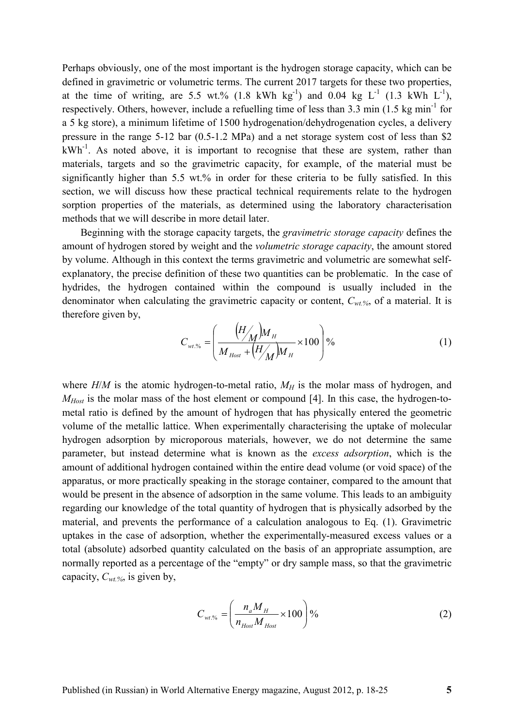Perhaps obviously, one of the most important is the hydrogen storage capacity, which can be defined in gravimetric or volumetric terms. The current 2017 targets for these two properties, at the time of writing, are 5.5 wt.% (1.8 kWh kg<sup>-1</sup>) and 0.04 kg  $L^{-1}$  (1.3 kWh  $L^{-1}$ ), respectively. Others, however, include a refuelling time of less than  $3.3 \text{ min}$  (1.5 kg min<sup>-1</sup> for a 5 kg store), a minimum lifetime of 1500 hydrogenation/dehydrogenation cycles, a delivery pressure in the range 5-12 bar (0.5-1.2 MPa) and a net storage system cost of less than \$2  $kWh^{-1}$ . As noted above, it is important to recognise that these are system, rather than materials, targets and so the gravimetric capacity, for example, of the material must be significantly higher than 5.5 wt.% in order for these criteria to be fully satisfied. In this section, we will discuss how these practical technical requirements relate to the hydrogen sorption properties of the materials, as determined using the laboratory characterisation methods that we will describe in more detail later.

Beginning with the storage capacity targets, the *gravimetric storage capacity* defines the amount of hydrogen stored by weight and the *volumetric storage capacity*, the amount stored by volume. Although in this context the terms gravimetric and volumetric are somewhat selfexplanatory, the precise definition of these two quantities can be problematic. In the case of hydrides, the hydrogen contained within the compound is usually included in the denominator when calculating the gravimetric capacity or content, *Cwt.%*, of a material. It is therefore given by,

$$
C_{w\ell\%} = \left(\frac{(H_{\Lambda})M_{H}}{M_{\text{Host}} + (H_{\Lambda})M_{H}} \times 100\right)\%
$$
\n(1)

where  $H/M$  is the atomic hydrogen-to-metal ratio,  $M_H$  is the molar mass of hydrogen, and *M*<sup>*Host*</sub> is the molar mass of the host element or compound [4]. In this case, the hydrogen-to-</sup> metal ratio is defined by the amount of hydrogen that has physically entered the geometric volume of the metallic lattice. When experimentally characterising the uptake of molecular hydrogen adsorption by microporous materials, however, we do not determine the same parameter, but instead determine what is known as the *excess adsorption*, which is the amount of additional hydrogen contained within the entire dead volume (or void space) of the apparatus, or more practically speaking in the storage container, compared to the amount that would be present in the absence of adsorption in the same volume. This leads to an ambiguity regarding our knowledge of the total quantity of hydrogen that is physically adsorbed by the material, and prevents the performance of a calculation analogous to Eq. (1). Gravimetric uptakes in the case of adsorption, whether the experimentally-measured excess values or a total (absolute) adsorbed quantity calculated on the basis of an appropriate assumption, are normally reported as a percentage of the "empty" or dry sample mass, so that the gravimetric capacity, *Cwt.%*, is given by,

$$
C_{\text{wt.}\%} = \left(\frac{n_a M_H}{n_{\text{Host}} M_{\text{Host}}}\times 100\right)\%
$$
 (2)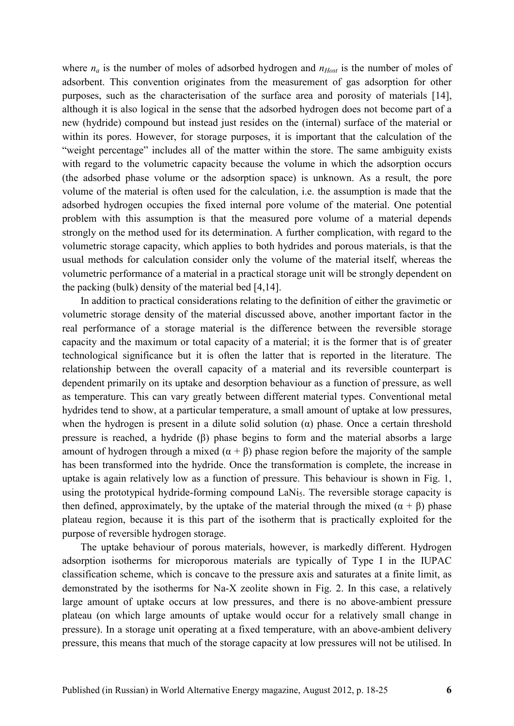where  $n_a$  is the number of moles of adsorbed hydrogen and  $n_{Host}$  is the number of moles of adsorbent. This convention originates from the measurement of gas adsorption for other purposes, such as the characterisation of the surface area and porosity of materials [14], although it is also logical in the sense that the adsorbed hydrogen does not become part of a new (hydride) compound but instead just resides on the (internal) surface of the material or within its pores. However, for storage purposes, it is important that the calculation of the "weight percentage" includes all of the matter within the store. The same ambiguity exists with regard to the volumetric capacity because the volume in which the adsorption occurs (the adsorbed phase volume or the adsorption space) is unknown. As a result, the pore volume of the material is often used for the calculation, i.e. the assumption is made that the adsorbed hydrogen occupies the fixed internal pore volume of the material. One potential problem with this assumption is that the measured pore volume of a material depends strongly on the method used for its determination. A further complication, with regard to the volumetric storage capacity, which applies to both hydrides and porous materials, is that the usual methods for calculation consider only the volume of the material itself, whereas the volumetric performance of a material in a practical storage unit will be strongly dependent on the packing (bulk) density of the material bed [4,14].

In addition to practical considerations relating to the definition of either the gravimetic or volumetric storage density of the material discussed above, another important factor in the real performance of a storage material is the difference between the reversible storage capacity and the maximum or total capacity of a material; it is the former that is of greater technological significance but it is often the latter that is reported in the literature. The relationship between the overall capacity of a material and its reversible counterpart is dependent primarily on its uptake and desorption behaviour as a function of pressure, as well as temperature. This can vary greatly between different material types. Conventional metal hydrides tend to show, at a particular temperature, a small amount of uptake at low pressures, when the hydrogen is present in a dilute solid solution  $(\alpha)$  phase. Once a certain threshold pressure is reached, a hydride (β) phase begins to form and the material absorbs a large amount of hydrogen through a mixed  $(\alpha + \beta)$  phase region before the majority of the sample has been transformed into the hydride. Once the transformation is complete, the increase in uptake is again relatively low as a function of pressure. This behaviour is shown in Fig. 1, using the prototypical hydride-forming compound LaNi<sub>5</sub>. The reversible storage capacity is then defined, approximately, by the uptake of the material through the mixed  $(\alpha + \beta)$  phase plateau region, because it is this part of the isotherm that is practically exploited for the purpose of reversible hydrogen storage.

The uptake behaviour of porous materials, however, is markedly different. Hydrogen adsorption isotherms for microporous materials are typically of Type I in the IUPAC classification scheme, which is concave to the pressure axis and saturates at a finite limit, as demonstrated by the isotherms for Na-X zeolite shown in Fig. 2. In this case, a relatively large amount of uptake occurs at low pressures, and there is no above-ambient pressure plateau (on which large amounts of uptake would occur for a relatively small change in pressure). In a storage unit operating at a fixed temperature, with an above-ambient delivery pressure, this means that much of the storage capacity at low pressures will not be utilised. In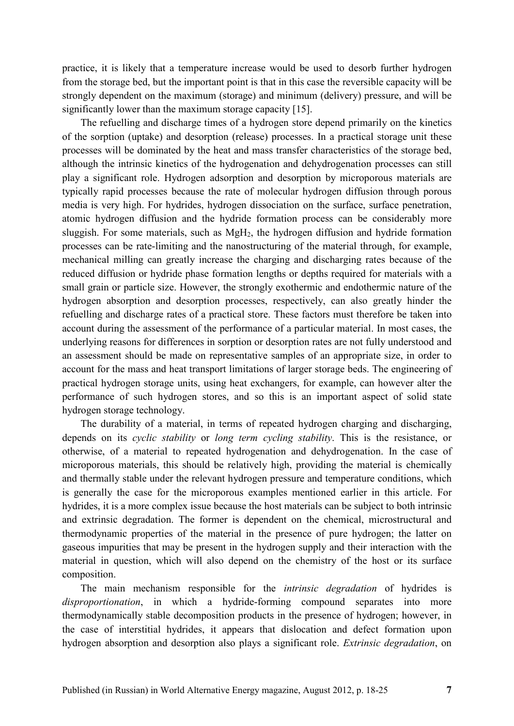practice, it is likely that a temperature increase would be used to desorb further hydrogen from the storage bed, but the important point is that in this case the reversible capacity will be strongly dependent on the maximum (storage) and minimum (delivery) pressure, and will be significantly lower than the maximum storage capacity [15].

The refuelling and discharge times of a hydrogen store depend primarily on the kinetics of the sorption (uptake) and desorption (release) processes. In a practical storage unit these processes will be dominated by the heat and mass transfer characteristics of the storage bed, although the intrinsic kinetics of the hydrogenation and dehydrogenation processes can still play a significant role. Hydrogen adsorption and desorption by microporous materials are typically rapid processes because the rate of molecular hydrogen diffusion through porous media is very high. For hydrides, hydrogen dissociation on the surface, surface penetration, atomic hydrogen diffusion and the hydride formation process can be considerably more sluggish. For some materials, such as MgH<sub>2</sub>, the hydrogen diffusion and hydride formation processes can be rate-limiting and the nanostructuring of the material through, for example, mechanical milling can greatly increase the charging and discharging rates because of the reduced diffusion or hydride phase formation lengths or depths required for materials with a small grain or particle size. However, the strongly exothermic and endothermic nature of the hydrogen absorption and desorption processes, respectively, can also greatly hinder the refuelling and discharge rates of a practical store. These factors must therefore be taken into account during the assessment of the performance of a particular material. In most cases, the underlying reasons for differences in sorption or desorption rates are not fully understood and an assessment should be made on representative samples of an appropriate size, in order to account for the mass and heat transport limitations of larger storage beds. The engineering of practical hydrogen storage units, using heat exchangers, for example, can however alter the performance of such hydrogen stores, and so this is an important aspect of solid state hydrogen storage technology.

The durability of a material, in terms of repeated hydrogen charging and discharging, depends on its *cyclic stability* or *long term cycling stability*. This is the resistance, or otherwise, of a material to repeated hydrogenation and dehydrogenation. In the case of microporous materials, this should be relatively high, providing the material is chemically and thermally stable under the relevant hydrogen pressure and temperature conditions, which is generally the case for the microporous examples mentioned earlier in this article. For hydrides, it is a more complex issue because the host materials can be subject to both intrinsic and extrinsic degradation. The former is dependent on the chemical, microstructural and thermodynamic properties of the material in the presence of pure hydrogen; the latter on gaseous impurities that may be present in the hydrogen supply and their interaction with the material in question, which will also depend on the chemistry of the host or its surface composition.

The main mechanism responsible for the *intrinsic degradation* of hydrides is *disproportionation*, in which a hydride-forming compound separates into more thermodynamically stable decomposition products in the presence of hydrogen; however, in the case of interstitial hydrides, it appears that dislocation and defect formation upon hydrogen absorption and desorption also plays a significant role. *Extrinsic degradation*, on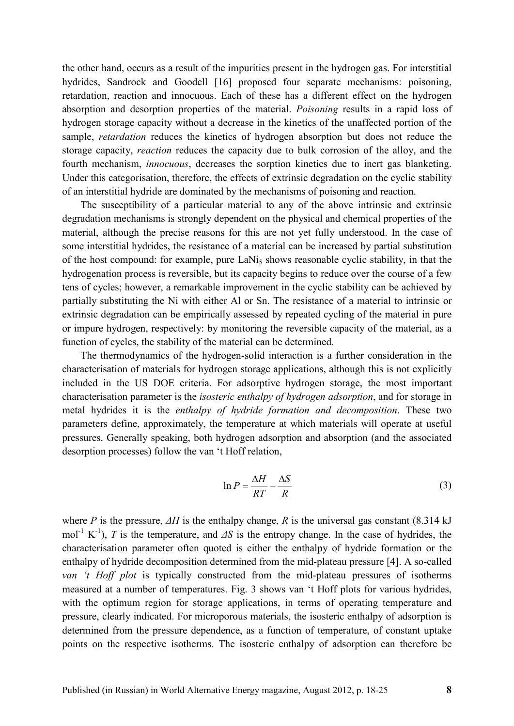the other hand, occurs as a result of the impurities present in the hydrogen gas. For interstitial hydrides, Sandrock and Goodell [16] proposed four separate mechanisms: poisoning, retardation, reaction and innocuous. Each of these has a different effect on the hydrogen absorption and desorption properties of the material. *Poisoning* results in a rapid loss of hydrogen storage capacity without a decrease in the kinetics of the unaffected portion of the sample, *retardation* reduces the kinetics of hydrogen absorption but does not reduce the storage capacity, *reaction* reduces the capacity due to bulk corrosion of the alloy, and the fourth mechanism, *innocuous*, decreases the sorption kinetics due to inert gas blanketing. Under this categorisation, therefore, the effects of extrinsic degradation on the cyclic stability of an interstitial hydride are dominated by the mechanisms of poisoning and reaction.

The susceptibility of a particular material to any of the above intrinsic and extrinsic degradation mechanisms is strongly dependent on the physical and chemical properties of the material, although the precise reasons for this are not yet fully understood. In the case of some interstitial hydrides, the resistance of a material can be increased by partial substitution of the host compound: for example, pure LaNi<sub>5</sub> shows reasonable cyclic stability, in that the hydrogenation process is reversible, but its capacity begins to reduce over the course of a few tens of cycles; however, a remarkable improvement in the cyclic stability can be achieved by partially substituting the Ni with either Al or Sn. The resistance of a material to intrinsic or extrinsic degradation can be empirically assessed by repeated cycling of the material in pure or impure hydrogen, respectively: by monitoring the reversible capacity of the material, as a function of cycles, the stability of the material can be determined.

The thermodynamics of the hydrogen-solid interaction is a further consideration in the characterisation of materials for hydrogen storage applications, although this is not explicitly included in the US DOE criteria. For adsorptive hydrogen storage, the most important characterisation parameter is the *isosteric enthalpy of hydrogen adsorption*, and for storage in metal hydrides it is the *enthalpy of hydride formation and decomposition*. These two parameters define, approximately, the temperature at which materials will operate at useful pressures. Generally speaking, both hydrogen adsorption and absorption (and the associated desorption processes) follow the van 't Hoff relation,

$$
\ln P = \frac{\Delta H}{RT} - \frac{\Delta S}{R}
$$
 (3)

where *P* is the pressure, *∆H* is the enthalpy change, *R* is the universal gas constant (8.314 kJ mol-1 K-1), *T* is the temperature, and *∆S* is the entropy change. In the case of hydrides, the characterisation parameter often quoted is either the enthalpy of hydride formation or the enthalpy of hydride decomposition determined from the mid-plateau pressure [4]. A so-called *van 't Hoff plot* is typically constructed from the mid-plateau pressures of isotherms measured at a number of temperatures. Fig. 3 shows van 't Hoff plots for various hydrides, with the optimum region for storage applications, in terms of operating temperature and pressure, clearly indicated. For microporous materials, the isosteric enthalpy of adsorption is determined from the pressure dependence, as a function of temperature, of constant uptake points on the respective isotherms. The isosteric enthalpy of adsorption can therefore be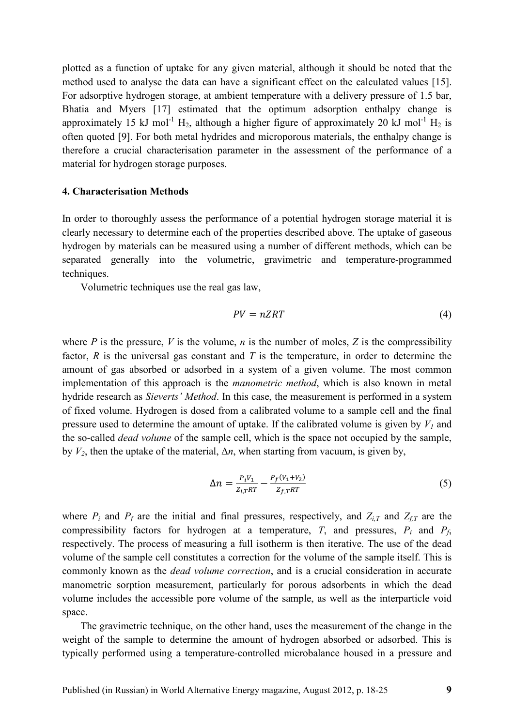plotted as a function of uptake for any given material, although it should be noted that the method used to analyse the data can have a significant effect on the calculated values [15]. For adsorptive hydrogen storage, at ambient temperature with a delivery pressure of 1.5 bar, Bhatia and Myers [17] estimated that the optimum adsorption enthalpy change is approximately 15 kJ mol<sup>-1</sup> H<sub>2</sub>, although a higher figure of approximately 20 kJ mol<sup>-1</sup> H<sub>2</sub> is often quoted [9]. For both metal hydrides and microporous materials, the enthalpy change is therefore a crucial characterisation parameter in the assessment of the performance of a material for hydrogen storage purposes.

#### **4. Characterisation Methods**

In order to thoroughly assess the performance of a potential hydrogen storage material it is clearly necessary to determine each of the properties described above. The uptake of gaseous hydrogen by materials can be measured using a number of different methods, which can be separated generally into the volumetric, gravimetric and temperature-programmed techniques.

Volumetric techniques use the real gas law,

$$
PV = nZRT \tag{4}
$$

where *P* is the pressure, *V* is the volume, *n* is the number of moles, *Z* is the compressibility factor, *R* is the universal gas constant and *T* is the temperature, in order to determine the amount of gas absorbed or adsorbed in a system of a given volume. The most common implementation of this approach is the *manometric method*, which is also known in metal hydride research as *Sieverts' Method*. In this case, the measurement is performed in a system of fixed volume. Hydrogen is dosed from a calibrated volume to a sample cell and the final pressure used to determine the amount of uptake. If the calibrated volume is given by  $V_I$  and the so-called *dead volume* of the sample cell, which is the space not occupied by the sample, by  $V_2$ , then the uptake of the material,  $\Delta n$ , when starting from vacuum, is given by,

$$
\Delta n = \frac{P_i V_1}{Z_{i,T} R T} - \frac{P_f (V_1 + V_2)}{Z_{f,T} R T}
$$
\n(5)

where  $P_i$  and  $P_f$  are the initial and final pressures, respectively, and  $Z_{i,T}$  and  $Z_{f,T}$  are the compressibility factors for hydrogen at a temperature, *T*, and pressures,  $P_i$  and  $P_f$ , respectively. The process of measuring a full isotherm is then iterative. The use of the dead volume of the sample cell constitutes a correction for the volume of the sample itself. This is commonly known as the *dead volume correction*, and is a crucial consideration in accurate manometric sorption measurement, particularly for porous adsorbents in which the dead volume includes the accessible pore volume of the sample, as well as the interparticle void space.

The gravimetric technique, on the other hand, uses the measurement of the change in the weight of the sample to determine the amount of hydrogen absorbed or adsorbed. This is typically performed using a temperature-controlled microbalance housed in a pressure and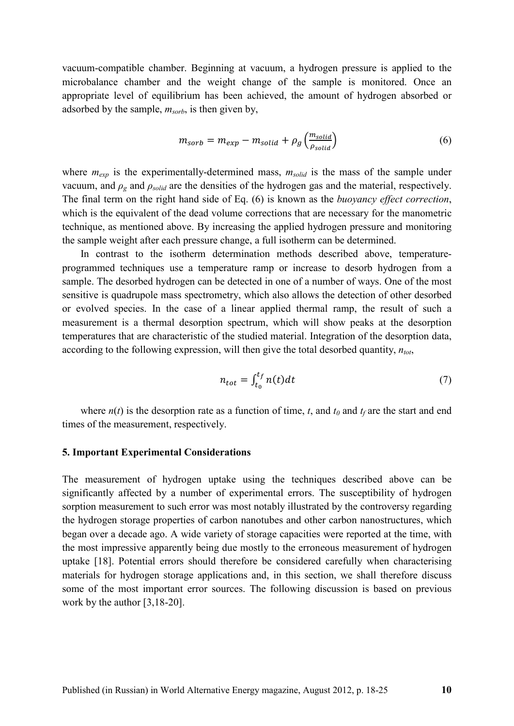vacuum-compatible chamber. Beginning at vacuum, a hydrogen pressure is applied to the microbalance chamber and the weight change of the sample is monitored. Once an appropriate level of equilibrium has been achieved, the amount of hydrogen absorbed or adsorbed by the sample, *msorb*, is then given by,

$$
m_{sorb} = m_{exp} - m_{solid} + \rho_g \left(\frac{m_{solid}}{\rho_{solid}}\right)
$$
 (6)

where  $m_{exp}$  is the experimentally-determined mass,  $m_{solid}$  is the mass of the sample under vacuum, and *ρg* and *ρsolid* are the densities of the hydrogen gas and the material, respectively. The final term on the right hand side of Eq. (6) is known as the *buoyancy effect correction*, which is the equivalent of the dead volume corrections that are necessary for the manometric technique, as mentioned above. By increasing the applied hydrogen pressure and monitoring the sample weight after each pressure change, a full isotherm can be determined.

In contrast to the isotherm determination methods described above, temperatureprogrammed techniques use a temperature ramp or increase to desorb hydrogen from a sample. The desorbed hydrogen can be detected in one of a number of ways. One of the most sensitive is quadrupole mass spectrometry, which also allows the detection of other desorbed or evolved species. In the case of a linear applied thermal ramp, the result of such a measurement is a thermal desorption spectrum, which will show peaks at the desorption temperatures that are characteristic of the studied material. Integration of the desorption data, according to the following expression, will then give the total desorbed quantity, *ntot*,

$$
n_{tot} = \int_{t_0}^{t_f} n(t)dt
$$
 (7)

where  $n(t)$  is the desorption rate as a function of time, *t*, and  $t_0$  and  $t_f$  are the start and end times of the measurement, respectively.

#### **5. Important Experimental Considerations**

The measurement of hydrogen uptake using the techniques described above can be significantly affected by a number of experimental errors. The susceptibility of hydrogen sorption measurement to such error was most notably illustrated by the controversy regarding the hydrogen storage properties of carbon nanotubes and other carbon nanostructures, which began over a decade ago. A wide variety of storage capacities were reported at the time, with the most impressive apparently being due mostly to the erroneous measurement of hydrogen uptake [18]. Potential errors should therefore be considered carefully when characterising materials for hydrogen storage applications and, in this section, we shall therefore discuss some of the most important error sources. The following discussion is based on previous work by the author [3,18-20].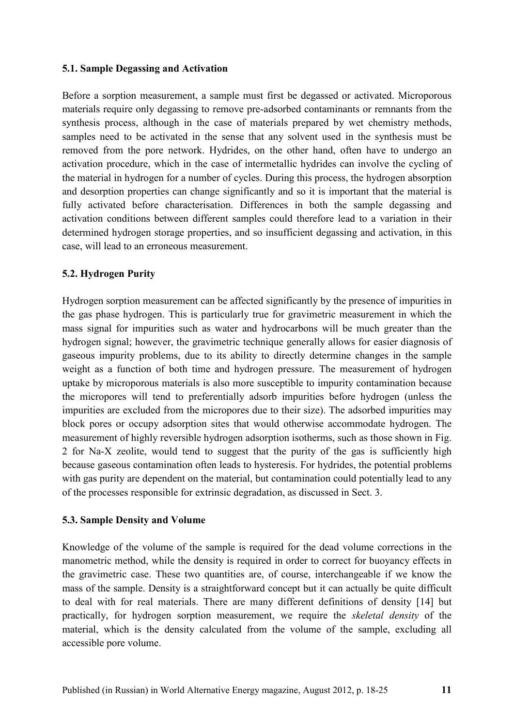# **5.1. Sample Degassing and Activation**

Before a sorption measurement, a sample must first be degassed or activated. Microporous materials require only degassing to remove pre-adsorbed contaminants or remnants from the synthesis process, although in the case of materials prepared by wet chemistry methods, samples need to be activated in the sense that any solvent used in the synthesis must be removed from the pore network. Hydrides, on the other hand, often have to undergo an activation procedure, which in the case of intermetallic hydrides can involve the cycling of the material in hydrogen for a number of cycles. During this process, the hydrogen absorption and desorption properties can change significantly and so it is important that the material is fully activated before characterisation. Differences in both the sample degassing and activation conditions between different samples could therefore lead to a variation in their determined hydrogen storage properties, and so insufficient degassing and activation, in this case, will lead to an erroneous measurement.

# **5.2. Hydrogen Purity**

Hydrogen sorption measurement can be affected significantly by the presence of impurities in the gas phase hydrogen. This is particularly true for gravimetric measurement in which the mass signal for impurities such as water and hydrocarbons will be much greater than the hydrogen signal; however, the gravimetric technique generally allows for easier diagnosis of gaseous impurity problems, due to its ability to directly determine changes in the sample weight as a function of both time and hydrogen pressure. The measurement of hydrogen uptake by microporous materials is also more susceptible to impurity contamination because the micropores will tend to preferentially adsorb impurities before hydrogen (unless the impurities are excluded from the micropores due to their size). The adsorbed impurities may block pores or occupy adsorption sites that would otherwise accommodate hydrogen. The measurement of highly reversible hydrogen adsorption isotherms, such as those shown in Fig. 2 for Na-X zeolite, would tend to suggest that the purity of the gas is sufficiently high because gaseous contamination often leads to hysteresis. For hydrides, the potential problems with gas purity are dependent on the material, but contamination could potentially lead to any of the processes responsible for extrinsic degradation, as discussed in Sect. 3.

# **5.3. Sample Density and Volume**

Knowledge of the volume of the sample is required for the dead volume corrections in the manometric method, while the density is required in order to correct for buoyancy effects in the gravimetric case. These two quantities are, of course, interchangeable if we know the mass of the sample. Density is a straightforward concept but it can actually be quite difficult to deal with for real materials. There are many different definitions of density [14] but practically, for hydrogen sorption measurement, we require the *skeletal density* of the material, which is the density calculated from the volume of the sample, excluding all accessible pore volume.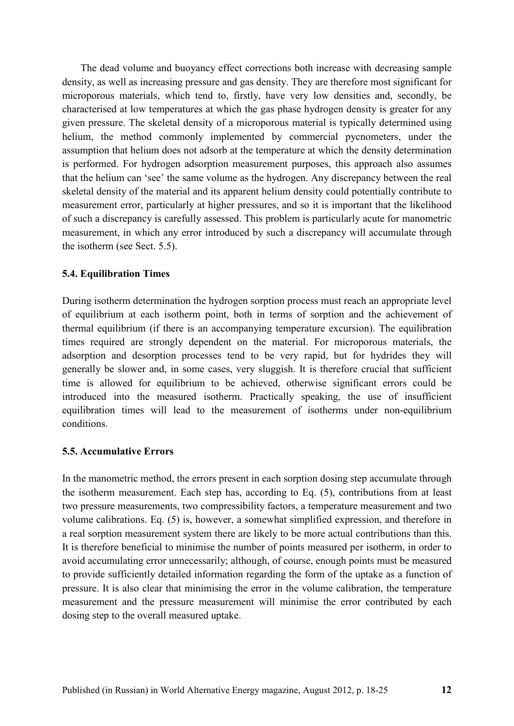The dead volume and buoyancy effect corrections both increase with decreasing sample density, as well as increasing pressure and gas density. They are therefore most significant for microporous materials, which tend to, firstly, have very low densities and, secondly, be characterised at low temperatures at which the gas phase hydrogen density is greater for any given pressure. The skeletal density of a microporous material is typically determined using helium, the method commonly implemented by commercial pycnometers, under the assumption that helium does not adsorb at the temperature at which the density determination is performed. For hydrogen adsorption measurement purposes, this approach also assumes that the helium can 'see' the same volume as the hydrogen. Any discrepancy between the real skeletal density of the material and its apparent helium density could potentially contribute to measurement error, particularly at higher pressures, and so it is important that the likelihood of such a discrepancy is carefully assessed. This problem is particularly acute for manometric measurement, in which any error introduced by such a discrepancy will accumulate through the isotherm (see Sect. 5.5).

# **5.4. Equilibration Times**

During isotherm determination the hydrogen sorption process must reach an appropriate level of equilibrium at each isotherm point, both in terms of sorption and the achievement of thermal equilibrium (if there is an accompanying temperature excursion). The equilibration times required are strongly dependent on the material. For microporous materials, the adsorption and desorption processes tend to be very rapid, but for hydrides they will generally be slower and, in some cases, very sluggish. It is therefore crucial that sufficient time is allowed for equilibrium to be achieved, otherwise significant errors could be introduced into the measured isotherm. Practically speaking, the use of insufficient equilibration times will lead to the measurement of isotherms under non-equilibrium conditions.

# **5.5. Accumulative Errors**

In the manometric method, the errors present in each sorption dosing step accumulate through the isotherm measurement. Each step has, according to Eq. (5), contributions from at least two pressure measurements, two compressibility factors, a temperature measurement and two volume calibrations. Eq. (5) is, however, a somewhat simplified expression, and therefore in a real sorption measurement system there are likely to be more actual contributions than this. It is therefore beneficial to minimise the number of points measured per isotherm, in order to avoid accumulating error unnecessarily; although, of course, enough points must be measured to provide sufficiently detailed information regarding the form of the uptake as a function of pressure. It is also clear that minimising the error in the volume calibration, the temperature measurement and the pressure measurement will minimise the error contributed by each dosing step to the overall measured uptake.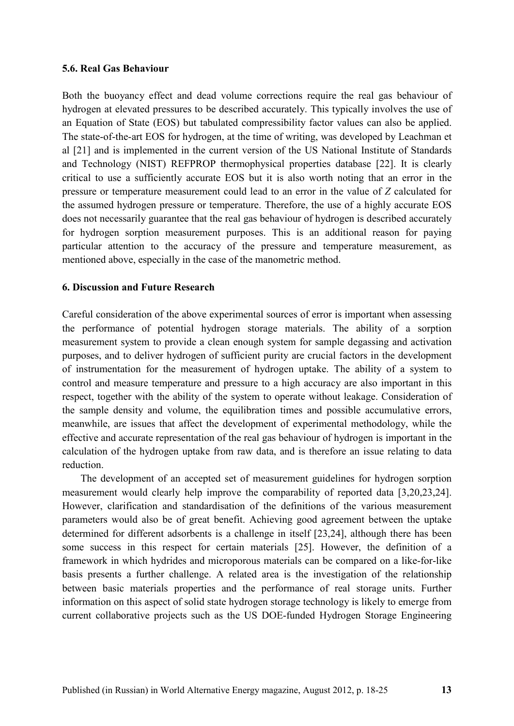### **5.6. Real Gas Behaviour**

Both the buoyancy effect and dead volume corrections require the real gas behaviour of hydrogen at elevated pressures to be described accurately. This typically involves the use of an Equation of State (EOS) but tabulated compressibility factor values can also be applied. The state-of-the-art EOS for hydrogen, at the time of writing, was developed by Leachman et al [21] and is implemented in the current version of the US National Institute of Standards and Technology (NIST) REFPROP thermophysical properties database [22]. It is clearly critical to use a sufficiently accurate EOS but it is also worth noting that an error in the pressure or temperature measurement could lead to an error in the value of *Z* calculated for the assumed hydrogen pressure or temperature. Therefore, the use of a highly accurate EOS does not necessarily guarantee that the real gas behaviour of hydrogen is described accurately for hydrogen sorption measurement purposes. This is an additional reason for paying particular attention to the accuracy of the pressure and temperature measurement, as mentioned above, especially in the case of the manometric method.

# **6. Discussion and Future Research**

Careful consideration of the above experimental sources of error is important when assessing the performance of potential hydrogen storage materials. The ability of a sorption measurement system to provide a clean enough system for sample degassing and activation purposes, and to deliver hydrogen of sufficient purity are crucial factors in the development of instrumentation for the measurement of hydrogen uptake. The ability of a system to control and measure temperature and pressure to a high accuracy are also important in this respect, together with the ability of the system to operate without leakage. Consideration of the sample density and volume, the equilibration times and possible accumulative errors, meanwhile, are issues that affect the development of experimental methodology, while the effective and accurate representation of the real gas behaviour of hydrogen is important in the calculation of the hydrogen uptake from raw data, and is therefore an issue relating to data reduction.

The development of an accepted set of measurement guidelines for hydrogen sorption measurement would clearly help improve the comparability of reported data [3,20,23,24]. However, clarification and standardisation of the definitions of the various measurement parameters would also be of great benefit. Achieving good agreement between the uptake determined for different adsorbents is a challenge in itself [23,24], although there has been some success in this respect for certain materials [25]. However, the definition of a framework in which hydrides and microporous materials can be compared on a like-for-like basis presents a further challenge. A related area is the investigation of the relationship between basic materials properties and the performance of real storage units. Further information on this aspect of solid state hydrogen storage technology is likely to emerge from current collaborative projects such as the US DOE-funded Hydrogen Storage Engineering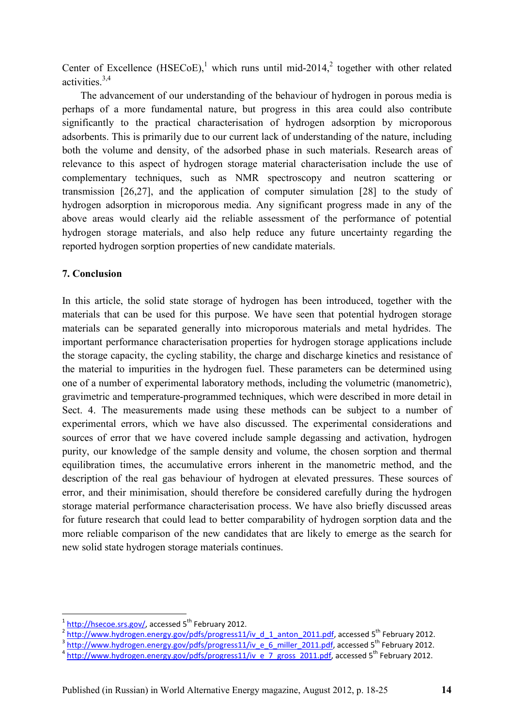Center of Excellence (HSECoE),<sup>1</sup> which runs until mid-2014,<sup>2</sup> together with other related activities.3,4

The advancement of our understanding of the behaviour of hydrogen in porous media is perhaps of a more fundamental nature, but progress in this area could also contribute significantly to the practical characterisation of hydrogen adsorption by microporous adsorbents. This is primarily due to our current lack of understanding of the nature, including both the volume and density, of the adsorbed phase in such materials. Research areas of relevance to this aspect of hydrogen storage material characterisation include the use of complementary techniques, such as NMR spectroscopy and neutron scattering or transmission [26,27], and the application of computer simulation [28] to the study of hydrogen adsorption in microporous media. Any significant progress made in any of the above areas would clearly aid the reliable assessment of the performance of potential hydrogen storage materials, and also help reduce any future uncertainty regarding the reported hydrogen sorption properties of new candidate materials.

# **7. Conclusion**

In this article, the solid state storage of hydrogen has been introduced, together with the materials that can be used for this purpose. We have seen that potential hydrogen storage materials can be separated generally into microporous materials and metal hydrides. The important performance characterisation properties for hydrogen storage applications include the storage capacity, the cycling stability, the charge and discharge kinetics and resistance of the material to impurities in the hydrogen fuel. These parameters can be determined using one of a number of experimental laboratory methods, including the volumetric (manometric), gravimetric and temperature-programmed techniques, which were described in more detail in Sect. 4. The measurements made using these methods can be subject to a number of experimental errors, which we have also discussed. The experimental considerations and sources of error that we have covered include sample degassing and activation, hydrogen purity, our knowledge of the sample density and volume, the chosen sorption and thermal equilibration times, the accumulative errors inherent in the manometric method, and the description of the real gas behaviour of hydrogen at elevated pressures. These sources of error, and their minimisation, should therefore be considered carefully during the hydrogen storage material performance characterisation process. We have also briefly discussed areas for future research that could lead to better comparability of hydrogen sorption data and the more reliable comparison of the new candidates that are likely to emerge as the search for new solid state hydrogen storage materials continues.

<u>.</u>

<sup>1</sup> http://hsecoe.srs.gov/, accessed 5<sup>th</sup> February 2012.

<sup>2</sup> http://www.hydrogen.energy.gov/pdfs/progress11/iv\_d\_1\_anton\_2011.pdf, accessed 5<sup>th</sup> February 2012.

 $3$  http://www.hydrogen.energy.gov/pdfs/progress11/iv\_e\_6\_miller\_2011.pdf, accessed 5<sup>th</sup> February 2012.

<sup>&</sup>lt;sup>4</sup> http://www.hydrogen.energy.gov/pdfs/progress11/iv\_e\_7\_gross\_2011.pdf, accessed 5<sup>th</sup> February 2012.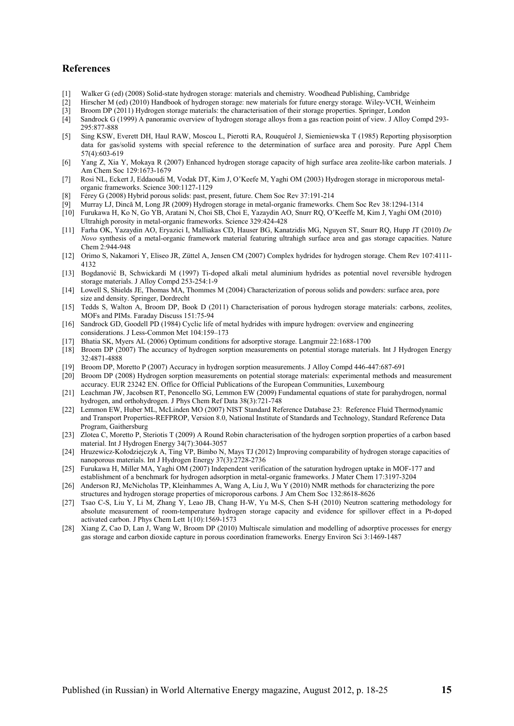#### **References**

- [1] Walker G (ed) (2008) Solid-state hydrogen storage: materials and chemistry. Woodhead Publishing, Cambridge
- [2] Hirscher M (ed) (2010) Handbook of hydrogen storage: new materials for future energy storage. Wiley-VCH, Weinheim
- [3] Broom DP (2011) Hydrogen storage materials: the characterisation of their storage properties. Springer, London [4] Sandrock G (1999) A panoramic overview of hydrogen storage alloys from a gas reaction point of view. J
- Sandrock G (1999) A panoramic overview of hydrogen storage alloys from a gas reaction point of view. J Alloy Compd 293-295:877-888
- [5] Sing KSW, Everett DH, Haul RAW, Moscou L, Pierotti RA, Rouquérol J, Siemieniewska T (1985) Reporting physisorption data for gas/solid systems with special reference to the determination of surface area and porosity. Pure Appl Chem 57(4):603-619
- [6] Yang Z, Xia Y, Mokaya R (2007) Enhanced hydrogen storage capacity of high surface area zeolite-like carbon materials. J Am Chem Soc 129:1673-1679
- [7] Rosi NL, Eckert J, Eddaoudi M, Vodak DT, Kim J, O'Keefe M, Yaghi OM (2003) Hydrogen storage in microporous metalorganic frameworks. Science 300:1127-1129
- Férey G (2008) Hybrid porous solids: past, present, future. Chem Soc Rev 37:191-214
- [9] Murray LJ, Dincă M, Long JR (2009) Hydrogen storage in metal-organic frameworks. Chem Soc Rev 38:1294-1314
- [10] Furukawa H, Ko N, Go YB, Aratani N, Choi SB, Choi E, Yazaydin AO, Snurr RQ, O'Keeffe M, Kim J, Yaghi OM (2010) Ultrahigh porosity in metal-organic frameworks. Science 329:424-428
- [11] Farha OK, Yazaydin AO, Eryazici I, Malliakas CD, Hauser BG, Kanatzidis MG, Nguyen ST, Snurr RQ, Hupp JT (2010) *De Novo* synthesis of a metal-organic framework material featuring ultrahigh surface area and gas storage capacities. Nature Chem 2:944-948
- [12] Orimo S, Nakamori Y, Eliseo JR, Züttel A, Jensen CM (2007) Complex hydrides for hydrogen storage. Chem Rev 107:4111- 4132
- [13] Bogdanović B, Schwickardi M (1997) Ti-doped alkali metal aluminium hydrides as potential novel reversible hydrogen storage materials. J Alloy Compd 253-254:1-9
- [14] Lowell S, Shields JE, Thomas MA, Thommes M (2004) Characterization of porous solids and powders: surface area, pore size and density. Springer, Dordrecht
- [15] Tedds S, Walton A, Broom DP, Book D (2011) Characterisation of porous hydrogen storage materials: carbons, zeolites, MOFs and PIMs. Faraday Discuss 151:75-94
- [16] Sandrock GD, Goodell PD (1984) Cyclic life of metal hydrides with impure hydrogen: overview and engineering considerations. J Less-Common Met 104:159–173
- [17] Bhatia SK, Myers AL (2006) Optimum conditions for adsorptive storage. Langmuir 22:1688-1700
- [18] Broom DP (2007) The accuracy of hydrogen sorption measurements on potential storage materials. Int J Hydrogen Energy 32:4871-4888
- [19] Broom DP, Moretto P (2007) Accuracy in hydrogen sorption measurements. J Alloy Compd 446-447:687-691
- [20] Broom DP (2008) Hydrogen sorption measurements on potential storage materials: experimental methods and measurement accuracy. EUR 23242 EN. Office for Official Publications of the European Communities, Luxembourg
- [21] Leachman JW, Jacobsen RT, Penoncello SG, Lemmon EW (2009) Fundamental equations of state for parahydrogen, normal hydrogen, and orthohydrogen. J Phys Chem Ref Data 38(3):721-748
- [22] Lemmon EW, Huber ML, McLinden MO (2007) NIST Standard Reference Database 23: Reference Fluid Thermodynamic and Transport Properties-REFPROP, Version 8.0, National Institute of Standards and Technology, Standard Reference Data Program, Gaithersburg
- [23] Zlotea C, Moretto P, Steriotis T (2009) A Round Robin characterisation of the hydrogen sorption properties of a carbon based material. Int J Hydrogen Energy 34(7):3044-3057
- [24] Hruzewicz-Kołodziejczyk A, Ting VP, Bimbo N, Mays TJ (2012) Improving comparability of hydrogen storage capacities of nanoporous materials. Int J Hydrogen Energy 37(3):2728-2736
- [25] Furukawa H, Miller MA, Yaghi OM (2007) Independent verification of the saturation hydrogen uptake in MOF-177 and establishment of a benchmark for hydrogen adsorption in metal-organic frameworks. J Mater Chem 17:3197-3204
- [26] Anderson RJ, McNicholas TP, Kleinhammes A, Wang A, Liu J, Wu Y (2010) NMR methods for characterizing the pore structures and hydrogen storage properties of microporous carbons. J Am Chem Soc 132:8618-8626
- [27] Tsao C-S, Liu Y, Li M, Zhang Y, Leao JB, Chang H-W, Yu M-S, Chen S-H (2010) Neutron scattering methodology for absolute measurement of room-temperature hydrogen storage capacity and evidence for spillover effect in a Pt-doped activated carbon. J Phys Chem Lett 1(10):1569-1573
- [28] Xiang Z, Cao D, Lan J, Wang W, Broom DP (2010) Multiscale simulation and modelling of adsorptive processes for energy gas storage and carbon dioxide capture in porous coordination frameworks. Energy Environ Sci 3:1469-1487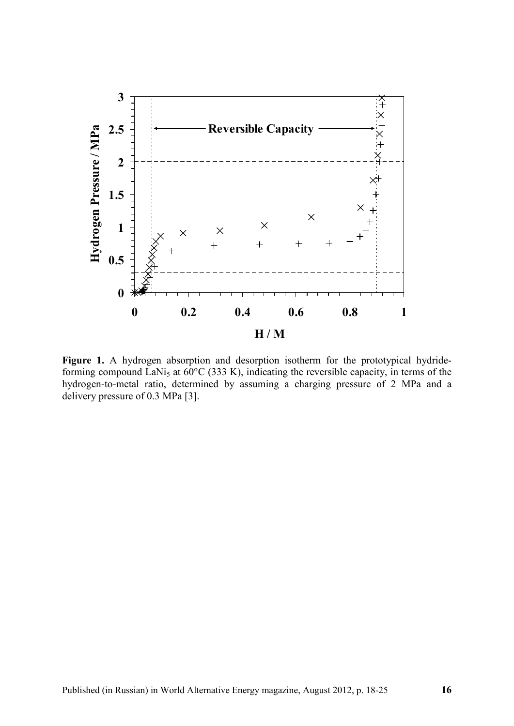

Figure 1. A hydrogen absorption and desorption isotherm for the prototypical hydrideforming compound LaNi<sub>5</sub> at  $60^{\circ}$ C (333 K), indicating the reversible capacity, in terms of the hydrogen-to-metal ratio, determined by assuming a charging pressure of 2 MPa and a delivery pressure of 0.3 MPa [3].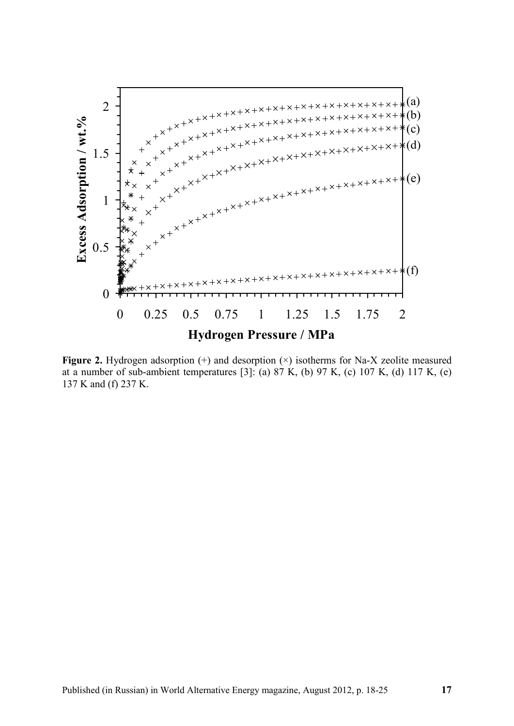

Figure 2. Hydrogen adsorption (+) and desorption ( $\times$ ) isotherms for Na-X zeolite measured at a number of sub-ambient temperatures [3]: (a)  $87$  K, (b)  $97$  K, (c)  $107$  K, (d)  $117$  K, (e) 137 K and (f) 237 K.